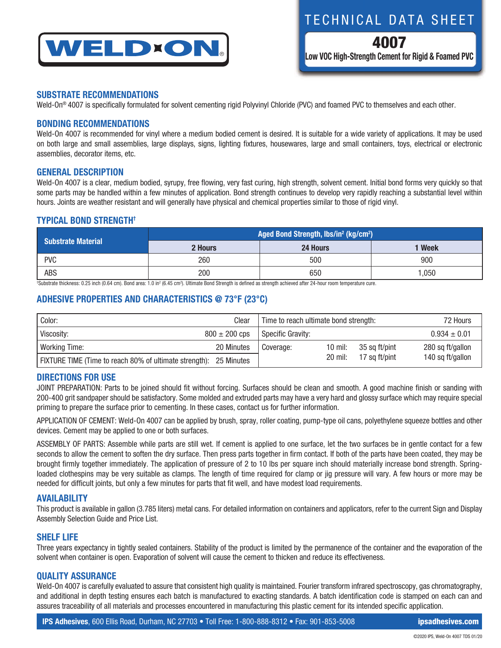

TECHNICAL DATA SHEET

4007 **Low VOC High-Strength Cement for Rigid & Foamed PVC**

### **SUBSTRATE RECOMMENDATIONS**

Weld-On® 4007 is specifically formulated for solvent cementing rigid Polyvinyl Chloride (PVC) and foamed PVC to themselves and each other.

### **BONDING RECOMMENDATIONS**

Weld-On 4007 is recommended for vinyl where a medium bodied cement is desired. It is suitable for a wide variety of applications. It may be used on both large and small assemblies, large displays, signs, lighting fixtures, housewares, large and small containers, toys, electrical or electronic assemblies, decorator items, etc.

### **GENERAL DESCRIPTION**

Weld-On 4007 is a clear, medium bodied, syrupy, free flowing, very fast curing, high strength, solvent cement. Initial bond forms very quickly so that some parts may be handled within a few minutes of application. Bond strength continues to develop very rapidly reaching a substantial level within hours. Joints are weather resistant and will generally have physical and chemical properties similar to those of rigid vinyl.

### **TYPICAL BOND STRENGTH†**

| <b>Substrate Material</b> | Aged Bond Strength, lbs/in <sup>2</sup> (kg/cm <sup>2</sup> ) |          |             |  |  |
|---------------------------|---------------------------------------------------------------|----------|-------------|--|--|
|                           | 2 Hours                                                       | 24 Hours | <b>Week</b> |  |  |
| <b>PVC</b>                | 260                                                           | 500      | 900         |  |  |
| ABS                       | 200                                                           | 650      | l.050       |  |  |

<sup>t</sup>Substrate thickness: 0.25 inch (0.64 cm). Bond area: 1.0 in<sup>2</sup> (6.45 cm<sup>2</sup>). Ultimate Bond Strength is defined as strength achieved after 24-hour room temperature cure.

# **ADHESIVE PROPERTIES AND CHARACTERISTICS @ 73°F (23°C)**

| Color:<br>Clear                                        |                   | Time to reach ultimate bond strength: |         | 72 Hours      |                  |
|--------------------------------------------------------|-------------------|---------------------------------------|---------|---------------|------------------|
| Viscosity:                                             | $800 \pm 200$ cps | Specific Gravity:                     |         |               | $0.934 \pm 0.01$ |
| Working Time:                                          | 20 Minutes        | Coverage:                             | 10 mil: | 35 sa ft/pint | 280 sq ft/gallon |
| FIXTURE TIME (Time to reach 80% of ultimate strength): | 25 Minutes        |                                       | 20 mil: | 17 sa ft/pint | 140 sq ft/gallon |

## **DIRECTIONS FOR USE**

JOINT PREPARATION: Parts to be joined should fit without forcing. Surfaces should be clean and smooth. A good machine finish or sanding with 200-400 grit sandpaper should be satisfactory. Some molded and extruded parts may have a very hard and glossy surface which may require special priming to prepare the surface prior to cementing. In these cases, contact us for further information.

APPLICATION OF CEMENT: Weld-On 4007 can be applied by brush, spray, roller coating, pump-type oil cans, polyethylene squeeze bottles and other devices. Cement may be applied to one or both surfaces.

ASSEMBLY OF PARTS: Assemble while parts are still wet. If cement is applied to one surface, let the two surfaces be in gentle contact for a few seconds to allow the cement to soften the dry surface. Then press parts together in firm contact. If both of the parts have been coated, they may be brought firmly together immediately. The application of pressure of 2 to 10 lbs per square inch should materially increase bond strength. Springloaded clothespins may be very suitable as clamps. The length of time required for clamp or jig pressure will vary. A few hours or more may be needed for difficult joints, but only a few minutes for parts that fit well, and have modest load requirements.

### **AVAILABILITY**

This product is available in gallon (3.785 liters) metal cans. For detailed information on containers and applicators, refer to the current Sign and Display Assembly Selection Guide and Price List.

### **SHELF LIFE**

Three years expectancy in tightly sealed containers. Stability of the product is limited by the permanence of the container and the evaporation of the solvent when container is open. Evaporation of solvent will cause the cement to thicken and reduce its effectiveness.

## **QUALITY ASSURANCE**

Weld-On 4007 is carefully evaluated to assure that consistent high quality is maintained. Fourier transform infrared spectroscopy, gas chromatography, and additional in depth testing ensures each batch is manufactured to exacting standards. A batch identification code is stamped on each can and assures traceability of all materials and processes encountered in manufacturing this plastic cement for its intended specific application.